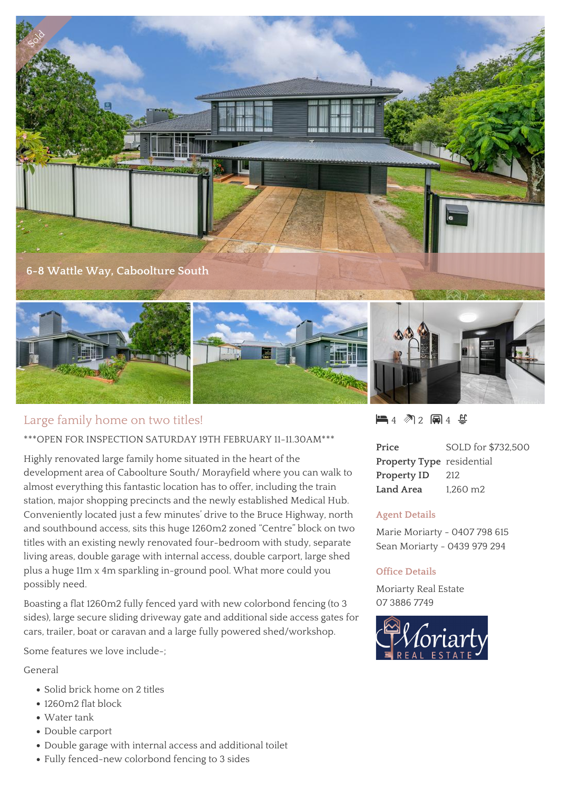

# Large family home on two titles!

## \*\*\*OPEN FOR INSPECTION SATURDAY 19TH FEBRUARY 11-11.30AM\*\*\*

Highly renovated large family home situated in the heart of the development area of Caboolture South/ Morayfield where you can walk to almost everything this fantastic location has to offer, including the train station, major shopping precincts and the newly established Medical Hub. Conveniently located just a few minutes' drive to the Bruce Highway, north and southbound access, sits this huge 1260m2 zoned "Centre" block on two titles with an existing newly renovated four-bedroom with study, separate living areas, double garage with internal access, double carport, large shed plus a huge 11m x 4m sparkling in-ground pool. What more could you possibly need.

Boasting a flat 1260m2 fully fenced yard with new colorbond fencing (to 3 sides), large secure sliding driveway gate and additional side access gates for cars, trailer, boat or caravan and a large fully powered shed/workshop.

Some features we love include-;

General

- Solid brick home on 2 titles
- 1260m2 flat block
- Water tank
- Double carport
- Double garage with internal access and additional toilet
- Fully fenced-new colorbond fencing to 3 sides

 $-4$   $\sqrt[3]{2}$   $-1$   $4$   $\sqrt[3]{2}$ 

| Price                            | SOLD for \$732,500   |
|----------------------------------|----------------------|
| <b>Property Type</b> residential |                      |
| Property ID                      | 212                  |
| Land Area                        | 1.260 m <sub>2</sub> |

#### **Agent Details**

Marie Moriarty - 0407 798 615 Sean Moriarty - 0439 979 294

#### **Office Details**

Moriarty Real Estate 07 3886 7749

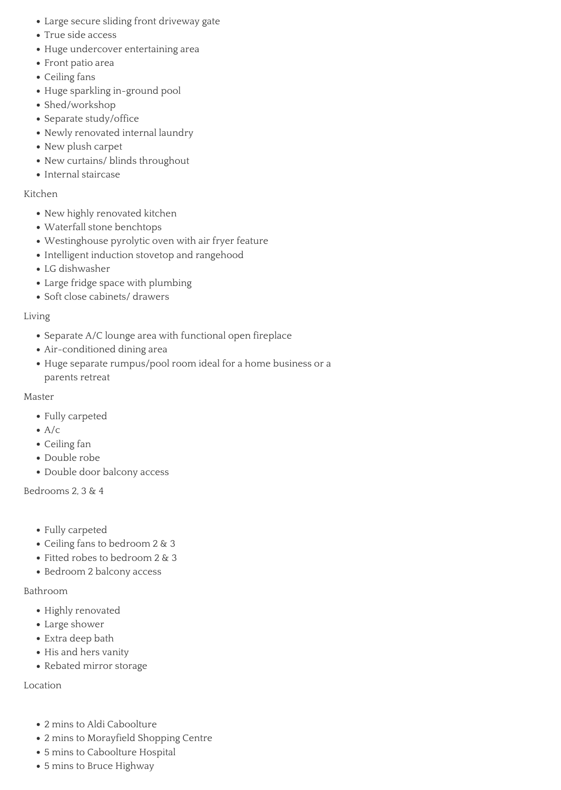- Large secure sliding front driveway gate
- True side access
- Huge undercover entertaining area
- Front patio area
- Ceiling fans
- Huge sparkling in-ground pool
- Shed/workshop
- Separate study/office
- Newly renovated internal laundry
- New plush carpet
- New curtains/ blinds throughout
- Internal staircase

## Kitchen

- New highly renovated kitchen
- Waterfall stone benchtops
- Westinghouse pyrolytic oven with air fryer feature
- Intelligent induction stovetop and rangehood
- LG dishwasher
- Large fridge space with plumbing
- Soft close cabinets/ drawers

# Living

- Separate A/C lounge area with functional open fireplace
- Air-conditioned dining area
- Huge separate rumpus/pool room ideal for a home business or a parents retreat

### Master

- Fully carpeted
- $\bullet$  A/c
- Ceiling fan
- Double robe
- Double door balcony access

Bedrooms 2, 3 & 4

- Fully carpeted
- Ceiling fans to bedroom 2 & 3
- Fitted robes to bedroom 2 & 3
- Bedroom 2 balcony access

# Bathroom

- Highly renovated
- Large shower
- Extra deep bath
- His and hers vanity
- Rebated mirror storage

Location

- 2 mins to Aldi Caboolture
- 2 mins to Morayfield Shopping Centre
- 5 mins to Caboolture Hospital
- 5 mins to Bruce Highway